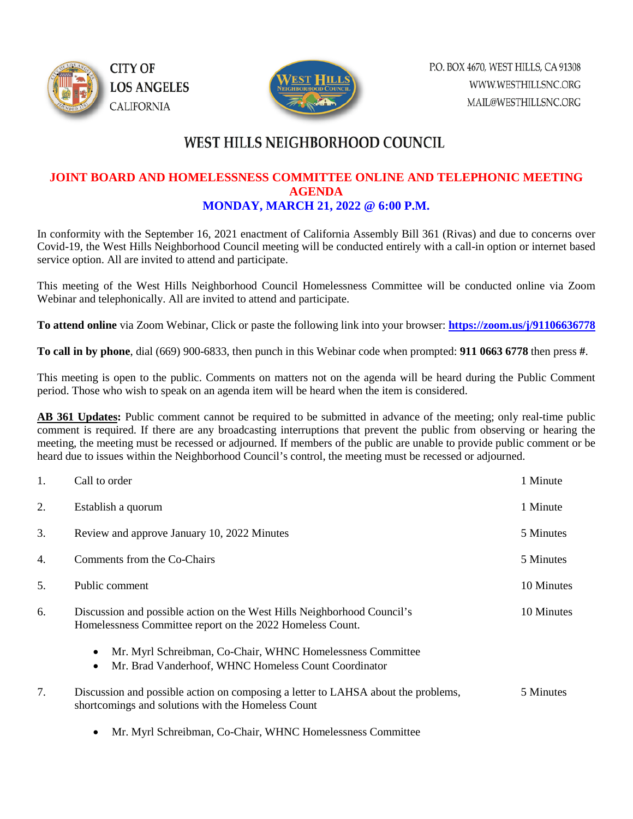



## WEST HILLS NEIGHBORHOOD COUNCIL

### **JOINT BOARD AND HOMELESSNESS COMMITTEE ONLINE AND TELEPHONIC MEETING AGENDA MONDAY, MARCH 21, 2022 @ 6:00 P.M.**

In conformity with the September 16, 2021 enactment of California Assembly Bill 361 (Rivas) and due to concerns over Covid-19, the West Hills Neighborhood Council meeting will be conducted entirely with a call-in option or internet based service option. All are invited to attend and participate.

This meeting of the West Hills Neighborhood Council Homelessness Committee will be conducted online via Zoom Webinar and telephonically. All are invited to attend and participate.

**To attend online** via Zoom Webinar, Click or paste the following link into your browser: **<https://zoom.us/j/91106636778>**

**To call in by phone**, dial (669) 900-6833, then punch in this Webinar code when prompted: **911 0663 6778** then press **#**.

This meeting is open to the public. Comments on matters not on the agenda will be heard during the Public Comment period. Those who wish to speak on an agenda item will be heard when the item is considered.

**AB 361 Updates:** Public comment cannot be required to be submitted in advance of the meeting; only real-time public comment is required. If there are any broadcasting interruptions that prevent the public from observing or hearing the meeting, the meeting must be recessed or adjourned. If members of the public are unable to provide public comment or be heard due to issues within the Neighborhood Council's control, the meeting must be recessed or adjourned.

| 1.  | Call to order                                                                                                                                | 1 Minute   |
|-----|----------------------------------------------------------------------------------------------------------------------------------------------|------------|
| 2.  | Establish a quorum                                                                                                                           | 1 Minute   |
| 3.  | Review and approve January 10, 2022 Minutes                                                                                                  |            |
| 4.  | Comments from the Co-Chairs                                                                                                                  |            |
| .5. | Public comment                                                                                                                               |            |
| 6.  | Discussion and possible action on the West Hills Neighborhood Council's<br>Homelessness Committee report on the 2022 Homeless Count.         | 10 Minutes |
|     | Mr. Myrl Schreibman, Co-Chair, WHNC Homelessness Committee<br>$\bullet$<br>Mr. Brad Vanderhoof, WHNC Homeless Count Coordinator<br>$\bullet$ |            |
| 7.  | Discussion and possible action on composing a letter to LAHSA about the problems,<br>shortcomings and solutions with the Homeless Count      | 5 Minutes  |
|     |                                                                                                                                              |            |

• Mr. Myrl Schreibman, Co-Chair, WHNC Homelessness Committee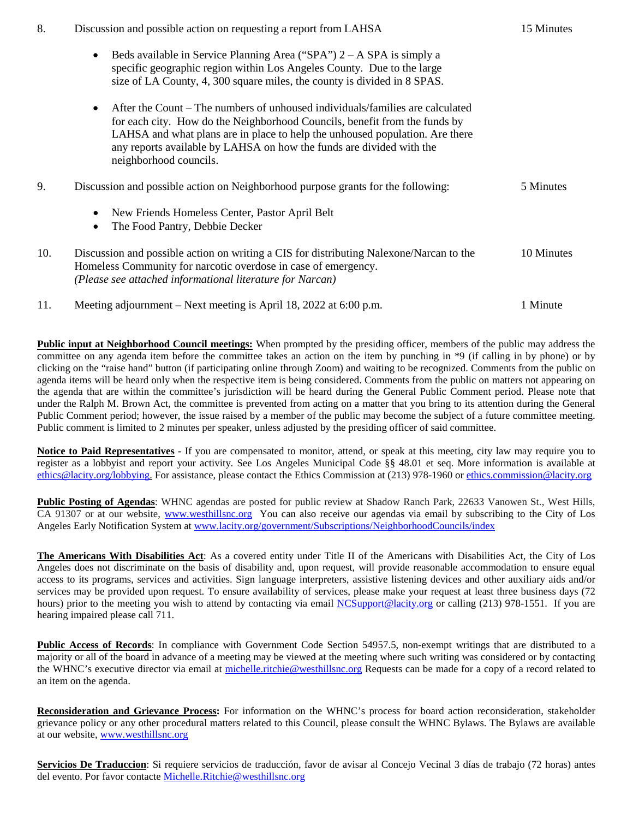| 8.  | Discussion and possible action on requesting a report from LAHSA                                                                                                                                                                                                                                                                                           |            |
|-----|------------------------------------------------------------------------------------------------------------------------------------------------------------------------------------------------------------------------------------------------------------------------------------------------------------------------------------------------------------|------------|
|     | Beds available in Service Planning Area ("SPA") $2 - A$ SPA is simply a<br>$\bullet$<br>specific geographic region within Los Angeles County. Due to the large<br>size of LA County, 4, 300 square miles, the county is divided in 8 SPAS.                                                                                                                 |            |
|     | After the Count – The numbers of unhoused individuals/families are calculated<br>$\bullet$<br>for each city. How do the Neighborhood Councils, benefit from the funds by<br>LAHSA and what plans are in place to help the unhoused population. Are there<br>any reports available by LAHSA on how the funds are divided with the<br>neighborhood councils. |            |
| 9.  | Discussion and possible action on Neighborhood purpose grants for the following:                                                                                                                                                                                                                                                                           | 5 Minutes  |
|     | New Friends Homeless Center, Pastor April Belt<br>$\bullet$<br>The Food Pantry, Debbie Decker<br>$\bullet$                                                                                                                                                                                                                                                 |            |
| 10. | Discussion and possible action on writing a CIS for distributing Nalexone/Narcan to the<br>Homeless Community for narcotic overdose in case of emergency.<br>(Please see attached informational literature for Narcan)                                                                                                                                     | 10 Minutes |
| 11. | Meeting adjournment – Next meeting is April 18, 2022 at 6:00 p.m.                                                                                                                                                                                                                                                                                          | 1 Minute   |

**Public input at Neighborhood Council meetings:** When prompted by the presiding officer, members of the public may address the committee on any agenda item before the committee takes an action on the item by punching in \*9 (if calling in by phone) or by clicking on the "raise hand" button (if participating online through Zoom) and waiting to be recognized. Comments from the public on agenda items will be heard only when the respective item is being considered. Comments from the public on matters not appearing on the agenda that are within the committee's jurisdiction will be heard during the General Public Comment period. Please note that under the Ralph M. Brown Act, the committee is prevented from acting on a matter that you bring to its attention during the General Public Comment period; however, the issue raised by a member of the public may become the subject of a future committee meeting. Public comment is limited to 2 minutes per speaker, unless adjusted by the presiding officer of said committee.

**Notice to Paid Representatives -** If you are compensated to monitor, attend, or speak at this meeting, city law may require you to register as a lobbyist and report your activity. See Los Angeles Municipal Code §§ 48.01 et seq. More information is available at [ethics@lacity.org/lobbying.](mailto:) For assistance, please contact the Ethics Commission at (213) 978-1960 or [ethics.commission@lacity.org](mailto:)

**Public Posting of Agendas**: WHNC agendas are posted for public review at Shadow Ranch Park, 22633 Vanowen St., West Hills, CA 91307 or at our website, [www.westhillsnc.org](http://www.westhillsnc.org/) You can also receive our agendas via email by subscribing to the City of Los Angeles Early Notification System at [www.lacity.org/government/Subscriptions/NeighborhoodCouncils/index](http://www.lacity.org/government/Subscriptions/NeighborhoodCouncils/index)

**The Americans With Disabilities Act**: As a covered entity under Title II of the Americans with Disabilities Act, the City of Los Angeles does not discriminate on the basis of disability and, upon request, will provide reasonable accommodation to ensure equal access to its programs, services and activities. Sign language interpreters, assistive listening devices and other auxiliary aids and/or services may be provided upon request. To ensure availability of services, please make your request at least three business days (72 hours) prior to the meeting you wish to attend by contacting via email [NCSupport@lacity.org](mailto:NCSupport@lacity.org) or calling (213) 978-1551. If you are hearing impaired please call 711.

**Public Access of Records**: In compliance with Government Code Section 54957.5, non-exempt writings that are distributed to a majority or all of the board in advance of a meeting may be viewed at the meeting where such writing was considered or by contacting the WHNC's executive director via email at [michelle.ritchie@westhillsnc.org](mailto:michelle.ritchie@westhillsnc.org) Requests can be made for a copy of a record related to an item on the agenda.

**Reconsideration and Grievance Process:** For information on the WHNC's process for board action reconsideration, stakeholder grievance policy or any other procedural matters related to this Council, please consult the WHNC Bylaws. The Bylaws are available at our website, [www.westhillsnc.org](http://www.westhillsnc.org/)

**Servicios De Traduccion**: Si requiere servicios de traducción, favor de avisar al Concejo Vecinal 3 días de trabajo (72 horas) antes del evento. Por favor contacte [Michelle.Ritchie@westhillsnc.org](mailto:Michelle.Ritchie@westhillsnc.org)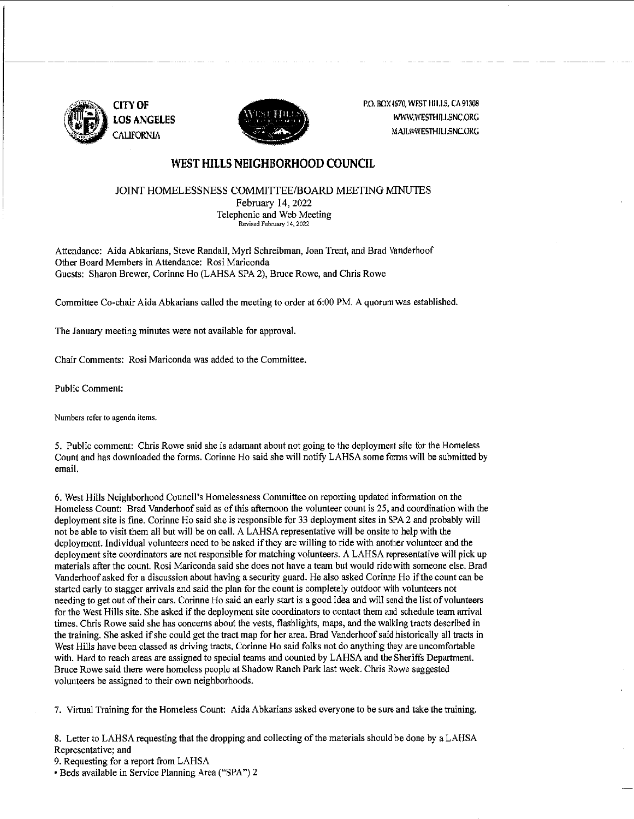

1---·--·---·---- -



P.O. BOX 4670, WEST HILLS, CA 91308 WWIV.WESTHII.I.SNC.ORG MAIL@WESTHILLSNC.ORG

#### **WEST HILLS NEIGHBORHOOD COUNCIL**

#### JOINT HOMELESSNESS COMMITTEE/BOARD MEETING MINUTES February 14,2022 Telephonic and Web Meeting

**Revised February 14,** 2022

Attendance: Aida Abkarians, Steve Randall, Myrl Schreibman, Joan Trent, and Brad Vanderhoof Other Board Members in Attendance: Rosi Mariconda

Guests: Sharon Brewer, Corinne Ho (LAHSA SPA 2), Bruce Rowe, and Chris Rowe

Committee Co-chair Aida Abkarians called the meeting to order at 6:00 PM. A quorum was established.

The January meeting minutes were not available for approval.

Chair Comments: Rosi Mariconda was added to the Committee.

Public Comment:

**Numbers refer to agenda items.** 

5. Public comment: Chris Rowe said she is adamant about not going to the deployment site for the Homeless Count and has downloaded the forms. Corinne Ho said she will notify LAHSA some forms will be submitted by **email.** 

**6. West Hills Neighborhood Council's Homelessness Committee on reporting updated information on the**  Homeless Count: Brad Vanderhoof said as of this afternoon the volunteer count is 25, and coordination with the deployment site is fine. Corinne Ho said she is responsible for 33 deployment sites in SPA 2 and probably will not be able to visit them all but will be on call. A LAHSA representative will be onsite to help with the deployment. Individuai volunteers need to be asked if they are willing to ride with another volunteer and the **deployment site coordinators are not responsible for matching volunteers. A LAHSA representative will pick up materials after the count. Rosi Mariconda said she does not have a team but would ride with someone else. Brad Vanderhoof asked for a discussion about having a security guard. He also asked Corinne Ho if the count can be**  started early to stagger arrivals and said the plan for the count is completely outdoor with volunteers not needing to get out oftheir cars. Corinne Ho said an early start is a good idea and will send the list of volunteers for the West Hills site. She asked if the deployment site coordinators to contact them and schedule team arrival times. Chris Rowe said she has concerns about the vests, flashlights, maps, and the walking tracts described in the training. She asked if she could get the tract map for her area. Brad Vanderhoof said historically all tracts in West Hills have been classed as driving tracts. Corinne Ho said folks not do anything they are uncomfortable with. Hard to reach areas are assigned to special teams and counted by LAHSA and the Sheriffs Department. Bruce Rowe said there were homeless people at Shadow Ranch Park last week. Chris Rowe suggested **volunteers be assigned to their own neighborhoods.** 

7. Virtual Training for the Homeless Count: Aida Abkarians asked everyone to be sure and take the training.

8. Letter to LAHSA requesting that the dropping and collecting of the materials should be done by a LAHSA **Representative; and** 

9. Requesting for a report from LAHSA

• Beds available in Service Planning Area ("SPA") 2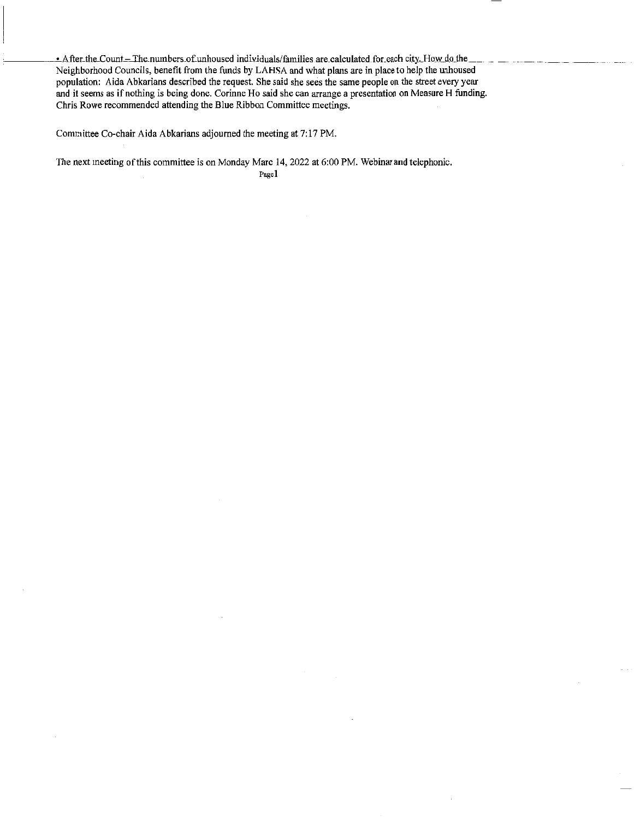- After the Count -- The numbers of unhoused individuals/families are calculated for each city. How do the Neighborhood Councils, benefit from the funds by LAHSA and what plans are in place to help the unhoused population: Aida Abkarians described the request. She said she sees the same people on the street every year **and it seems as if nothing is being done. Corinne Ho said she can arrange a presentation on Measure H funding. Chris Rowe recommended attending the Blue Ribbon Committee meetings.** 

Committee Co-chair Aida Abkarians adjourned the meeting at 7:17 PM.

The next meeting of this committee is on Monday Marc 14, 2022 at 6:00 PM. Webinar and telephonic.

**Pagel**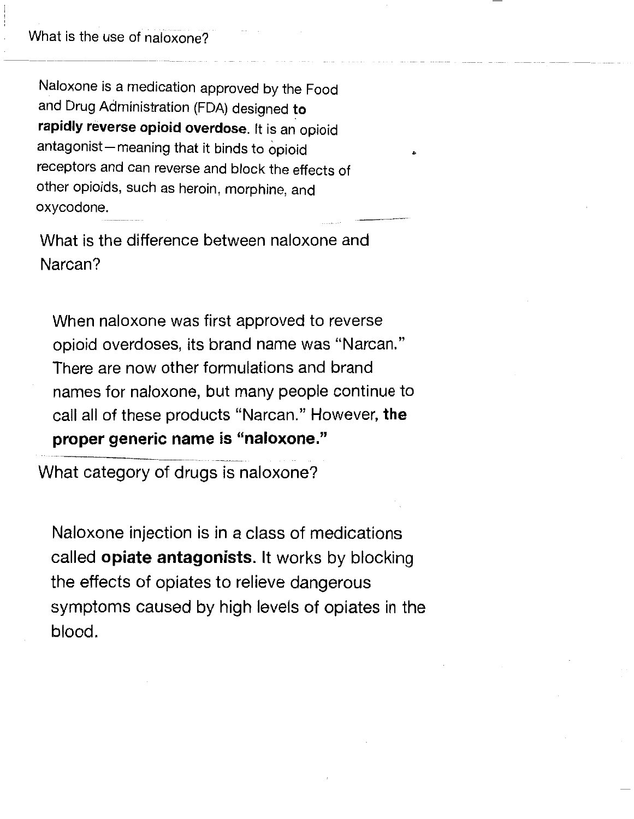What is the use of naloxone?

Naloxone is a medication approved by the Food and Drug Administration (FDA) designed **to rapidly reverse opioid overdose.** It is an· opioid antagonist-meaning that it binds to opioid receptors and can reverse and block the effects of other opioids, such as heroin, morphine, and oxycodone.

•

What is the difference between naloxone and Narcan?

When naloxone was first approved to reverse opioid overdoses, its brand name was "Narcan." There are now other formulations and brand names for naloxone, but many people continue to call all of these products "Narcan." However, **the proper generic name is "naloxone."** 

What category of drugs is naloxone?

Naloxone injection is in a class of medications called **opiate antagonists.** It works by blocking the effects of opiates to relieve dangerous symptoms caused by high levels of opiates in the blood.